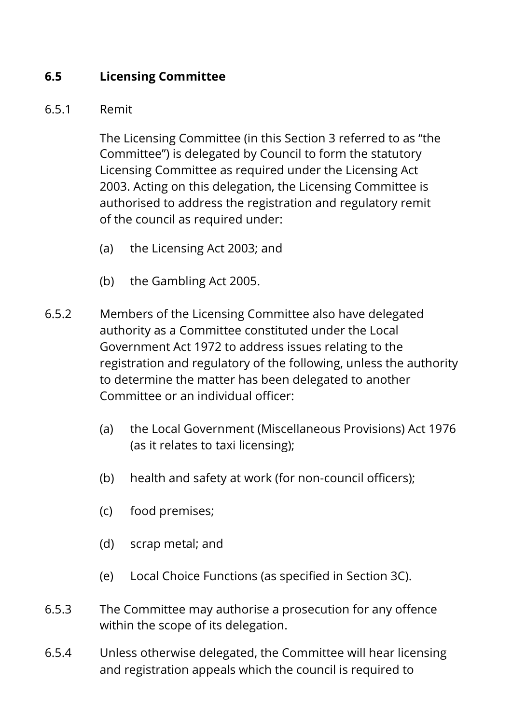## **6.5 Licensing Committee**

#### 6.5.1 Remit

The Licensing Committee (in this Section 3 referred to as "the Committee") is delegated by Council to form the statutory Licensing Committee as required under the Licensing Act 2003. Acting on this delegation, the Licensing Committee is authorised to address the registration and regulatory remit of the council as required under:

- (a) the Licensing Act 2003; and
- (b) the Gambling Act 2005.
- 6.5.2 Members of the Licensing Committee also have delegated authority as a Committee constituted under the Local Government Act 1972 to address issues relating to the registration and regulatory of the following, unless the authority to determine the matter has been delegated to another Committee or an individual officer:
	- (a) the Local Government (Miscellaneous Provisions) Act 1976 (as it relates to taxi licensing);
	- (b) health and safety at work (for non-council officers);
	- (c) food premises;
	- (d) scrap metal; and
	- (e) Local Choice Functions (as specified in Section 3C).
- 6.5.3 The Committee may authorise a prosecution for any offence within the scope of its delegation.
- 6.5.4 Unless otherwise delegated, the Committee will hear licensing and registration appeals which the council is required to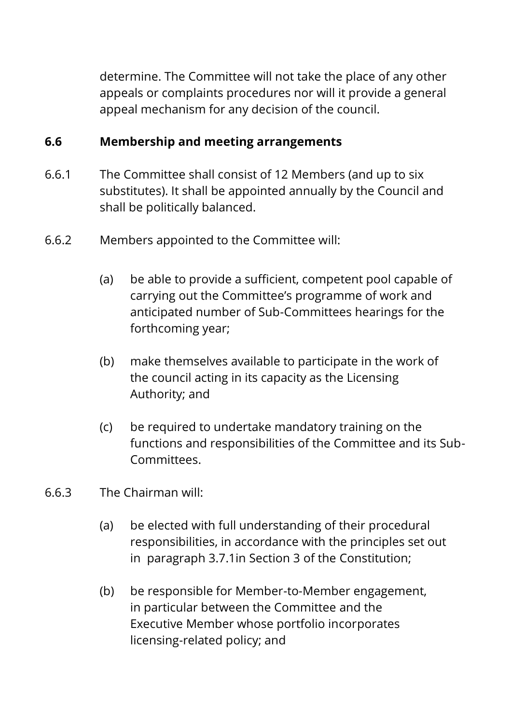determine. The Committee will not take the place of any other appeals or complaints procedures nor will it provide a general appeal mechanism for any decision of the council.

#### **6.6 Membership and meeting arrangements**

- 6.6.1 The Committee shall consist of 12 Members (and up to six substitutes). It shall be appointed annually by the Council and shall be politically balanced.
- 6.6.2 Members appointed to the Committee will:
	- (a) be able to provide a sufficient, competent pool capable of carrying out the Committee's programme of work and anticipated number of Sub-Committees hearings for the forthcoming year;
	- (b) make themselves available to participate in the work of the council acting in its capacity as the Licensing Authority; and
	- (c) be required to undertake mandatory training on the functions and responsibilities of the Committee and its Sub-Committees.
- 6.6.3 The Chairman will:
	- (a) be elected with full understanding of their procedural responsibilities, in accordance with the principles set out in paragraph 3.7.1in Section 3 of the Constitution;
	- (b) be responsible for Member-to-Member engagement, in particular between the Committee and the Executive Member whose portfolio incorporates licensing-related policy; and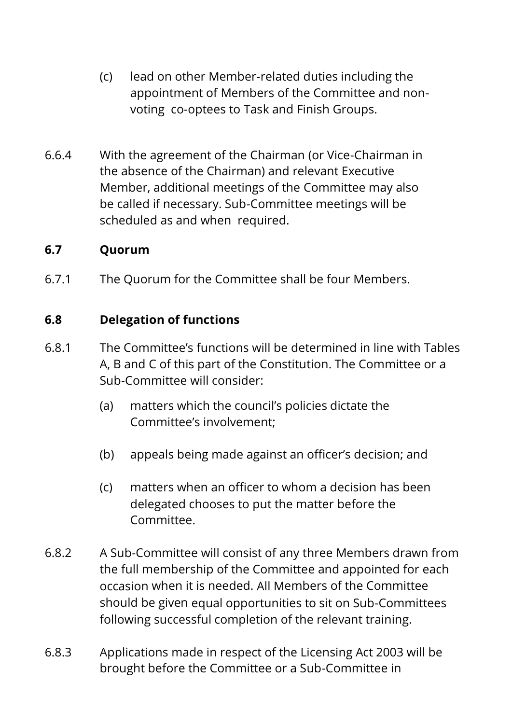- (c) lead on other Member-related duties including the appointment of Members of the Committee and nonvoting co-optees to Task and Finish Groups.
- 6.6.4 With the agreement of the Chairman (or Vice-Chairman in the absence of the Chairman) and relevant Executive Member, additional meetings of the Committee may also be called if necessary. Sub-Committee meetings will be scheduled as and when required.

#### **6.7 Quorum**

6.7.1 The Quorum for the Committee shall be four Members.

#### **6.8 Delegation of functions**

- 6.8.1 The Committee's functions will be determined in line with Tables A, B and C of this part of the Constitution. The Committee or a Sub-Committee will consider:
	- (a) matters which the council's policies dictate the Committee's involvement;
	- (b) appeals being made against an officer's decision; and
	- (c) matters when an officer to whom a decision has been delegated chooses to put the matter before the Committee.
- 6.8.2 A Sub-Committee will consist of any three Members drawn from the full membership of the Committee and appointed for each occasion when it is needed. All Members of the Committee should be given equal opportunities to sit on Sub-Committees following successful completion of the relevant training.
- 6.8.3 Applications made in respect of the Licensing Act 2003 will be brought before the Committee or a Sub-Committee in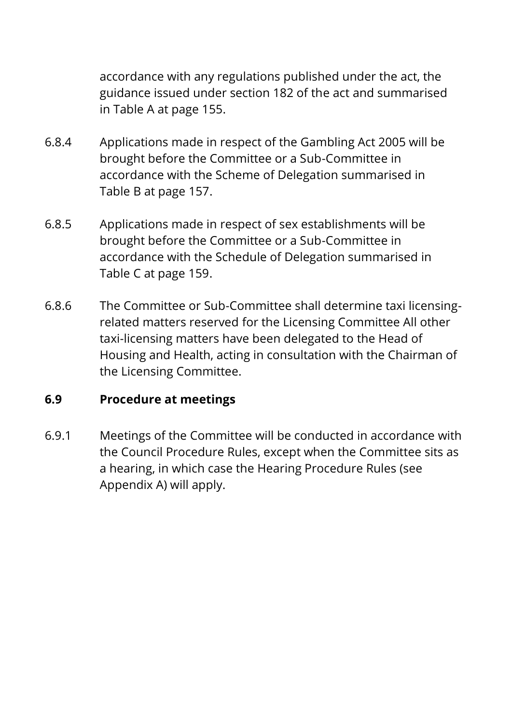accordance with any regulations published under the act, the guidance issued under section 182 of the act and summarised in Table A at page 155.

- 6.8.4 Applications made in respect of the Gambling Act 2005 will be brought before the Committee or a Sub-Committee in accordance with the Scheme of Delegation summarised in Table B at page 157.
- 6.8.5 Applications made in respect of sex establishments will be brought before the Committee or a Sub-Committee in accordance with the Schedule of Delegation summarised in Table C at page 159.
- 6.8.6 The Committee or Sub-Committee shall determine taxi licensingrelated matters reserved for the Licensing Committee All other taxi-licensing matters have been delegated to the Head of Housing and Health, acting in consultation with the Chairman of the Licensing Committee.

#### **6.9 Procedure at meetings**

6.9.1 Meetings of the Committee will be conducted in accordance with the Council Procedure Rules, except when the Committee sits as a hearing, in which case the Hearing Procedure Rules (see Appendix A) will apply.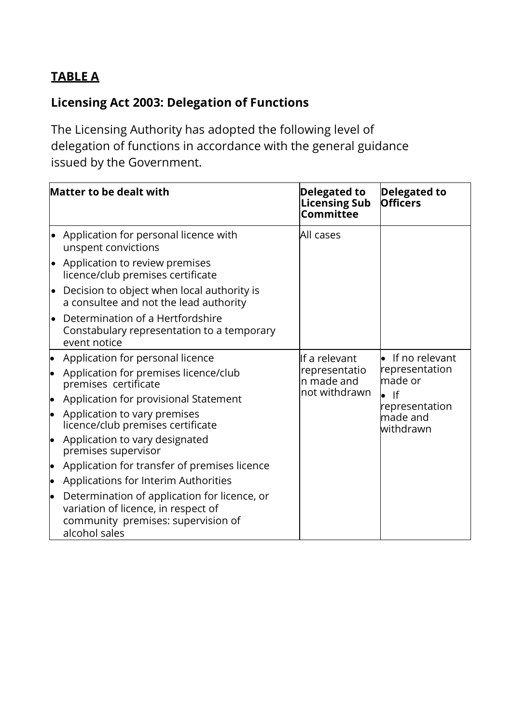## **TABLE A**

# **Licensing Act 2003: Delegation of Functions**

The Licensing Authority has adopted the following level of delegation of functions in accordance with the general guidance issued by the Government.

|           | <b>Matter to be dealt with</b>                                                                                                             | <b>Delegated to</b><br><b>Licensing Sub</b><br>Committee | <b>Delegated to</b><br><b>Officers</b>     |
|-----------|--------------------------------------------------------------------------------------------------------------------------------------------|----------------------------------------------------------|--------------------------------------------|
|           | • Application for personal licence with<br>unspent convictions                                                                             | All cases                                                |                                            |
|           | • Application to review premises<br>licence/club premises certificate                                                                      |                                                          |                                            |
|           | Decision to object when local authority is<br>a consultee and not the lead authority                                                       |                                                          |                                            |
|           | Determination of a Hertfordshire<br>Constabulary representation to a temporary<br>event notice                                             |                                                          |                                            |
| þ         | Application for personal licence                                                                                                           | If a relevant                                            | If no relevant                             |
| $\bullet$ | Application for premises licence/club<br>premises certificate                                                                              | representatio<br>n made and<br>not withdrawn             | representation<br>made or<br>$\bullet$ If  |
| þ         | Application for provisional Statement                                                                                                      |                                                          |                                            |
| þ         | Application to vary premises<br>licence/club premises certificate                                                                          |                                                          | representation<br>$m$ ade and<br>withdrawn |
| lo        | Application to vary designated<br>premises supervisor                                                                                      |                                                          |                                            |
| þ         | Application for transfer of premises licence                                                                                               |                                                          |                                            |
| lo        | Applications for Interim Authorities                                                                                                       |                                                          |                                            |
| lo        | Determination of application for licence, or<br>variation of licence, in respect of<br>community premises: supervision of<br>alcohol sales |                                                          |                                            |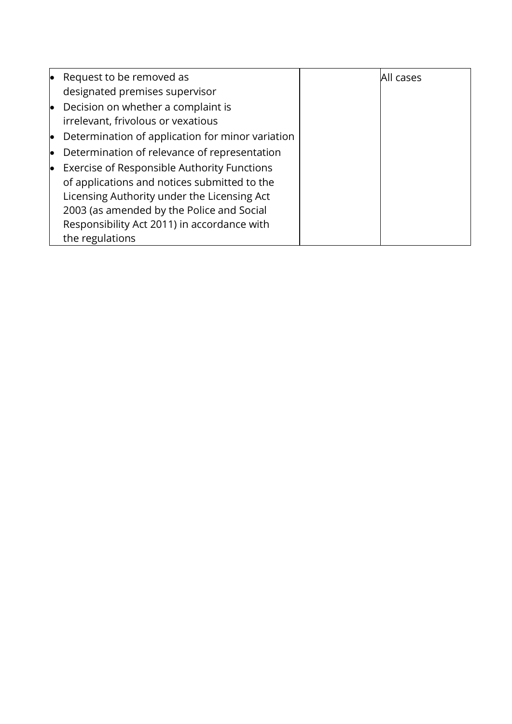|    | Request to be removed as                         | All cases |
|----|--------------------------------------------------|-----------|
|    | designated premises supervisor                   |           |
| lo | Decision on whether a complaint is               |           |
|    | irrelevant, frivolous or vexatious               |           |
| lo | Determination of application for minor variation |           |
| lo | Determination of relevance of representation     |           |
|    | Exercise of Responsible Authority Functions      |           |
|    | of applications and notices submitted to the     |           |
|    | Licensing Authority under the Licensing Act      |           |
|    | 2003 (as amended by the Police and Social        |           |
|    | Responsibility Act 2011) in accordance with      |           |
|    | the regulations                                  |           |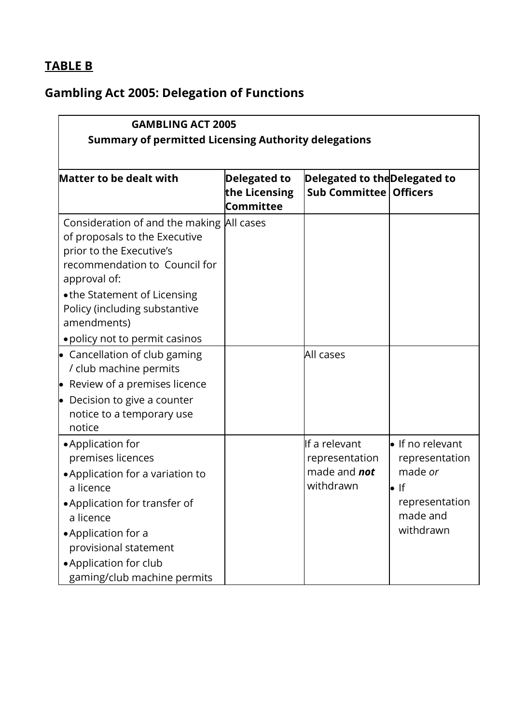# **TABLE B**

# **Gambling Act 2005: Delegation of Functions**

|                                                                                                                                                                                                                                                                           | <b>GAMBLING ACT 2005</b>                          |                                                                     |                                                                                                                  |  |  |  |  |  |
|---------------------------------------------------------------------------------------------------------------------------------------------------------------------------------------------------------------------------------------------------------------------------|---------------------------------------------------|---------------------------------------------------------------------|------------------------------------------------------------------------------------------------------------------|--|--|--|--|--|
| <b>Summary of permitted Licensing Authority delegations</b>                                                                                                                                                                                                               |                                                   |                                                                     |                                                                                                                  |  |  |  |  |  |
| <b>Matter to be dealt with</b>                                                                                                                                                                                                                                            | <b>Delegated to</b><br>the Licensing<br>Committee | Delegated to theDelegated to<br><b>Sub Committee   Officers</b>     |                                                                                                                  |  |  |  |  |  |
| Consideration of and the making All cases<br>of proposals to the Executive<br>prior to the Executive's<br>recommendation to Council for<br>approval of:<br>• the Statement of Licensing<br>Policy (including substantive<br>amendments)<br>• policy not to permit casinos |                                                   |                                                                     |                                                                                                                  |  |  |  |  |  |
| • Cancellation of club gaming<br>/ club machine permits<br>• Review of a premises licence<br>$\bullet$ Decision to give a counter<br>notice to a temporary use<br>notice                                                                                                  |                                                   | All cases                                                           |                                                                                                                  |  |  |  |  |  |
| • Application for<br>premises licences<br>• Application for a variation to<br>a licence<br>• Application for transfer of<br>a licence<br>• Application for a<br>provisional statement<br>• Application for club<br>gaming/club machine permits                            |                                                   | If a relevant<br>representation<br>made and <b>not</b><br>withdrawn | $\bullet$ If no relevant<br>representation<br>made or<br>$\bullet$ If<br>representation<br>made and<br>withdrawn |  |  |  |  |  |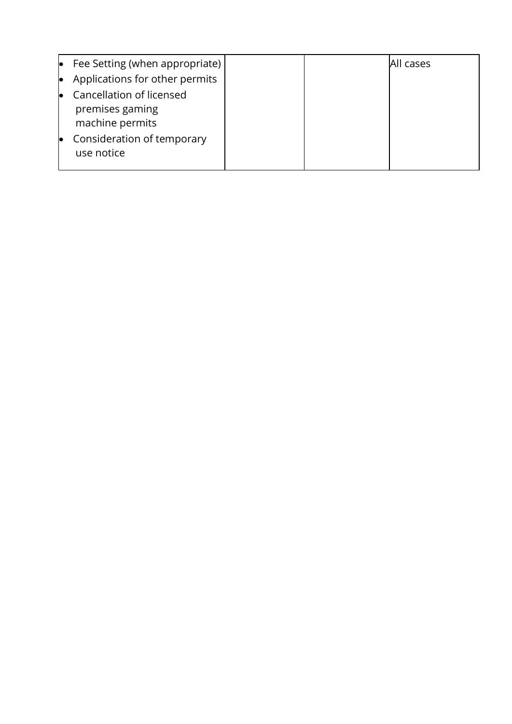| lo | Fee Setting (when appropriate)                                 |  | All cases |
|----|----------------------------------------------------------------|--|-----------|
| lo | Applications for other permits                                 |  |           |
| lo | Cancellation of licensed<br>premises gaming<br>machine permits |  |           |
| lo | Consideration of temporary<br>use notice                       |  |           |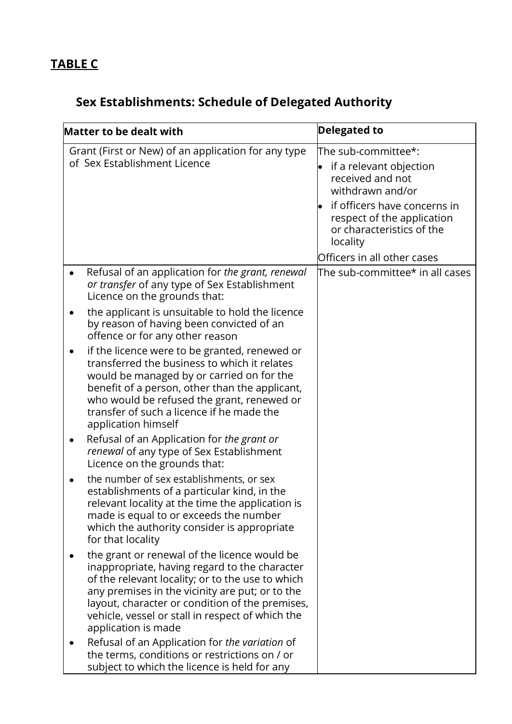# **Sex Establishments: Schedule of Delegated Authority**

| <b>Matter to be dealt with</b> |                                                                                                                                                                                                                                                                                                                                                   | <b>Delegated to</b>                                                                                                                                                                                                          |
|--------------------------------|---------------------------------------------------------------------------------------------------------------------------------------------------------------------------------------------------------------------------------------------------------------------------------------------------------------------------------------------------|------------------------------------------------------------------------------------------------------------------------------------------------------------------------------------------------------------------------------|
|                                | Grant (First or New) of an application for any type<br>of Sex Establishment Licence                                                                                                                                                                                                                                                               | The sub-committee*:<br>if a relevant objection<br>received and not<br>withdrawn and/or<br>if officers have concerns in<br>respect of the application<br>or characteristics of the<br>locality<br>Officers in all other cases |
|                                | Refusal of an application for the grant, renewal<br>or transfer of any type of Sex Establishment<br>Licence on the grounds that:<br>the applicant is unsuitable to hold the licence<br>by reason of having been convicted of an                                                                                                                   | The sub-committee $^\star$ in all cases                                                                                                                                                                                      |
|                                | offence or for any other reason<br>if the licence were to be granted, renewed or<br>transferred the business to which it relates<br>would be managed by or carried on for the<br>benefit of a person, other than the applicant,<br>who would be refused the grant, renewed or<br>transfer of such a licence if he made the<br>application himself |                                                                                                                                                                                                                              |
|                                | Refusal of an Application for the grant or<br>renewal of any type of Sex Establishment<br>Licence on the grounds that:                                                                                                                                                                                                                            |                                                                                                                                                                                                                              |
|                                | the number of sex establishments, or sex<br>establishments of a particular kind, in the<br>relevant locality at the time the application is<br>made is equal to or exceeds the number<br>which the authority consider is appropriate<br>for that locality                                                                                         |                                                                                                                                                                                                                              |
|                                | the grant or renewal of the licence would be<br>inappropriate, having regard to the character<br>of the relevant locality; or to the use to which<br>any premises in the vicinity are put; or to the<br>layout, character or condition of the premises,<br>vehicle, vessel or stall in respect of which the<br>application is made                |                                                                                                                                                                                                                              |
|                                | Refusal of an Application for the variation of<br>the terms, conditions or restrictions on / or<br>subject to which the licence is held for any                                                                                                                                                                                                   |                                                                                                                                                                                                                              |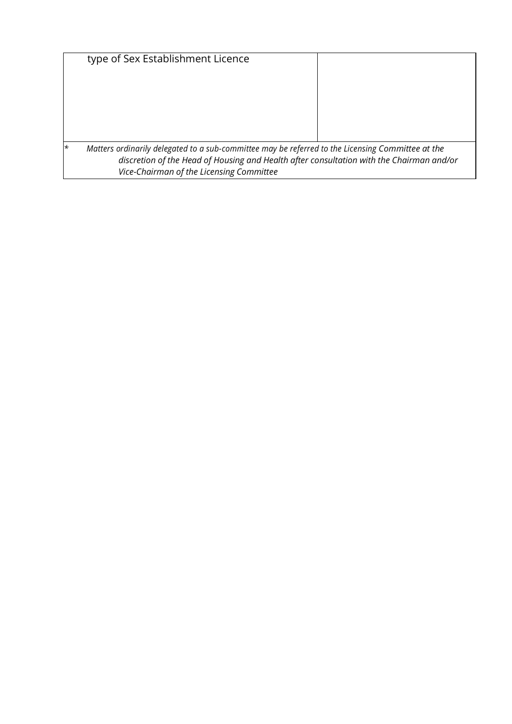|         | type of Sex Establishment Licence                                                                                                                                                                                                         |  |
|---------|-------------------------------------------------------------------------------------------------------------------------------------------------------------------------------------------------------------------------------------------|--|
|         |                                                                                                                                                                                                                                           |  |
|         |                                                                                                                                                                                                                                           |  |
|         |                                                                                                                                                                                                                                           |  |
|         |                                                                                                                                                                                                                                           |  |
| $\star$ | Matters ordinarily delegated to a sub-committee may be referred to the Licensing Committee at the<br>discretion of the Head of Housing and Health after consultation with the Chairman and/or<br>Vice-Chairman of the Licensing Committee |  |
|         |                                                                                                                                                                                                                                           |  |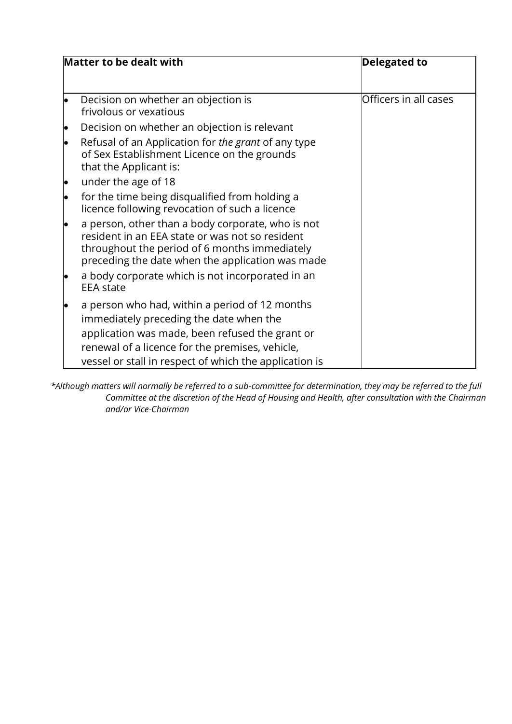|           | Matter to be dealt with                                                                                                                                                                                                                                   | <b>Delegated to</b>   |
|-----------|-----------------------------------------------------------------------------------------------------------------------------------------------------------------------------------------------------------------------------------------------------------|-----------------------|
|           | Decision on whether an objection is<br>frivolous or vexatious                                                                                                                                                                                             | Officers in all cases |
|           | Decision on whether an objection is relevant                                                                                                                                                                                                              |                       |
|           | Refusal of an Application for the grant of any type<br>of Sex Establishment Licence on the grounds<br>that the Applicant is:                                                                                                                              |                       |
| $\bullet$ | under the age of 18                                                                                                                                                                                                                                       |                       |
|           | for the time being disqualified from holding a<br>licence following revocation of such a licence                                                                                                                                                          |                       |
| $\bullet$ | a person, other than a body corporate, who is not<br>resident in an EEA state or was not so resident<br>throughout the period of 6 months immediately<br>preceding the date when the application was made                                                 |                       |
|           | a body corporate which is not incorporated in an<br><b>EEA</b> state                                                                                                                                                                                      |                       |
|           | a person who had, within a period of 12 months<br>immediately preceding the date when the<br>application was made, been refused the grant or<br>renewal of a licence for the premises, vehicle,<br>vessel or stall in respect of which the application is |                       |

*\*Although matters will normally be referred to a sub-committee for determination, they may be referred to the full Committee at the discretion of the Head of Housing and Health, after consultation with the Chairman and/or Vice-Chairman*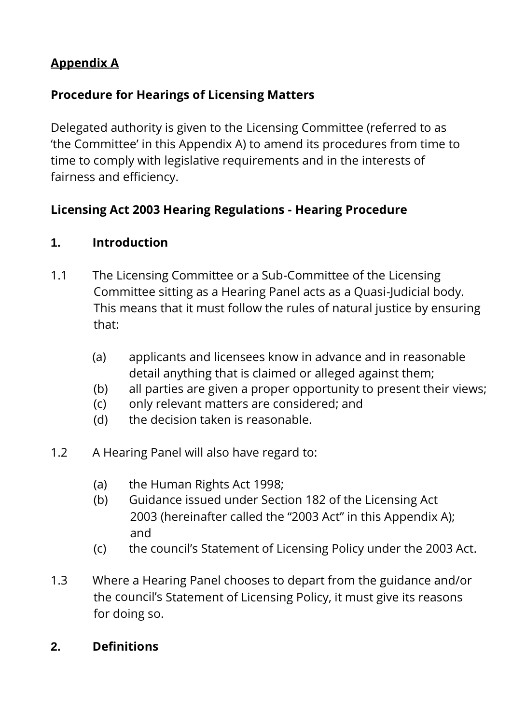## **Appendix A**

## **Procedure for Hearings of Licensing Matters**

Delegated authority is given to the Licensing Committee (referred to as 'the Committee' in this Appendix A) to amend its procedures from time to time to comply with legislative requirements and in the interests of fairness and efficiency.

## **Licensing Act 2003 Hearing Regulations - Hearing Procedure**

## **1. Introduction**

- 1.1 The Licensing Committee or a Sub-Committee of the Licensing Committee sitting as a Hearing Panel acts as a Quasi-Judicial body. This means that it must follow the rules of natural justice by ensuring that:
	- (a) applicants and licensees know in advance and in reasonable detail anything that is claimed or alleged against them;
	- (b) all parties are given a proper opportunity to present their views;
	- (c) only relevant matters are considered; and
	- (d) the decision taken is reasonable.
- 1.2 A Hearing Panel will also have regard to:
	- (a) the Human Rights Act 1998;
	- (b) Guidance issued under Section 182 of the Licensing Act 2003 (hereinafter called the "2003 Act" in this Appendix A); and
	- (c) the council's Statement of Licensing Policy under the 2003 Act.
- 1.3 Where a Hearing Panel chooses to depart from the guidance and/or the council's Statement of Licensing Policy, it must give its reasons for doing so.

## **2. Definitions**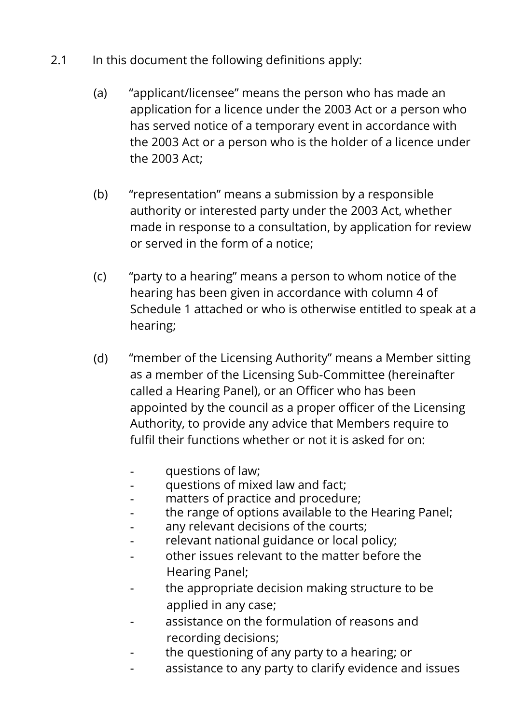- 2.1 In this document the following definitions apply:
	- (a) "applicant/licensee" means the person who has made an application for a licence under the 2003 Act or a person who has served notice of a temporary event in accordance with the 2003 Act or a person who is the holder of a licence under the 2003 Act;
	- (b) "representation" means a submission by a responsible authority or interested party under the 2003 Act, whether made in response to a consultation, by application for review or served in the form of a notice;
	- (c) "party to a hearing" means a person to whom notice of the hearing has been given in accordance with column 4 of Schedule 1 attached or who is otherwise entitled to speak at a hearing;
	- (d) "member of the Licensing Authority" means a Member sitting as a member of the Licensing Sub-Committee (hereinafter called a Hearing Panel), or an Officer who has been appointed by the council as a proper officer of the Licensing Authority, to provide any advice that Members require to fulfil their functions whether or not it is asked for on:
		- questions of law;
		- questions of mixed law and fact;
		- matters of practice and procedure;
		- the range of options available to the Hearing Panel;
		- any relevant decisions of the courts;
		- relevant national guidance or local policy;
		- other issues relevant to the matter before the Hearing Panel;
		- the appropriate decision making structure to be applied in any case;
		- assistance on the formulation of reasons and recording decisions;
		- the questioning of any party to a hearing; or
		- assistance to any party to clarify evidence and issues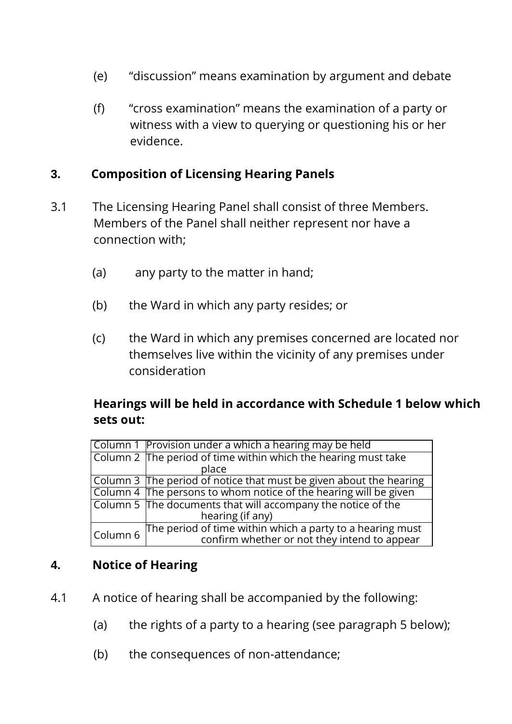- (e) "discussion" means examination by argument and debate
- (f) "cross examination" means the examination of a party or witness with a view to querying or questioning his or her evidence.

#### **3. Composition of Licensing Hearing Panels**

- 3.1 The Licensing Hearing Panel shall consist of three Members. Members of the Panel shall neither represent nor have a connection with;
	- (a) any party to the matter in hand;
	- (b) the Ward in which any party resides; or
	- (c) the Ward in which any premises concerned are located nor themselves live within the vicinity of any premises under consideration

#### **Hearings will be held in accordance with Schedule 1 below which sets out:**

|          | Column 1 Provision under a which a hearing may be held                                                    |
|----------|-----------------------------------------------------------------------------------------------------------|
|          | Column 2 The period of time within which the hearing must take                                            |
|          | place                                                                                                     |
|          | Column 3 The period of notice that must be given about the hearing                                        |
|          | Column 4 The persons to whom notice of the hearing will be given                                          |
|          | Column 5 The documents that will accompany the notice of the                                              |
|          | hearing (if any)                                                                                          |
|          | The period of time within which a party to a hearing must<br>confirm whether or not they intend to appear |
| Column 6 |                                                                                                           |

#### **4. Notice of Hearing**

- 4.1 A notice of hearing shall be accompanied by the following:
	- (a) the rights of a party to a hearing (see paragraph 5 below);
	- (b) the consequences of non-attendance;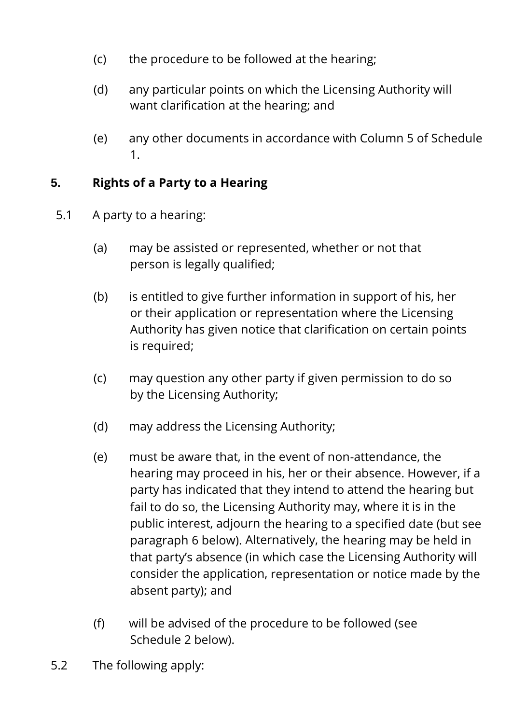- (c) the procedure to be followed at the hearing;
- (d) any particular points on which the Licensing Authority will want clarification at the hearing; and
- (e) any other documents in accordance with Column 5 of Schedule 1.

## **5. Rights of a Party to a Hearing**

- 5.1 A party to a hearing:
	- (a) may be assisted or represented, whether or not that person is legally qualified;
	- (b) is entitled to give further information in support of his, her or their application or representation where the Licensing Authority has given notice that clarification on certain points is required;
	- (c) may question any other party if given permission to do so by the Licensing Authority;
	- (d) may address the Licensing Authority;
	- (e) must be aware that, in the event of non-attendance, the hearing may proceed in his, her or their absence. However, if a party has indicated that they intend to attend the hearing but fail to do so, the Licensing Authority may, where it is in the public interest, adjourn the hearing to a specified date (but see paragraph 6 below). Alternatively, the hearing may be held in that party's absence (in which case the Licensing Authority will consider the application, representation or notice made by the absent party); and
	- (f) will be advised of the procedure to be followed (see Schedule 2 below).
- 5.2 The following apply: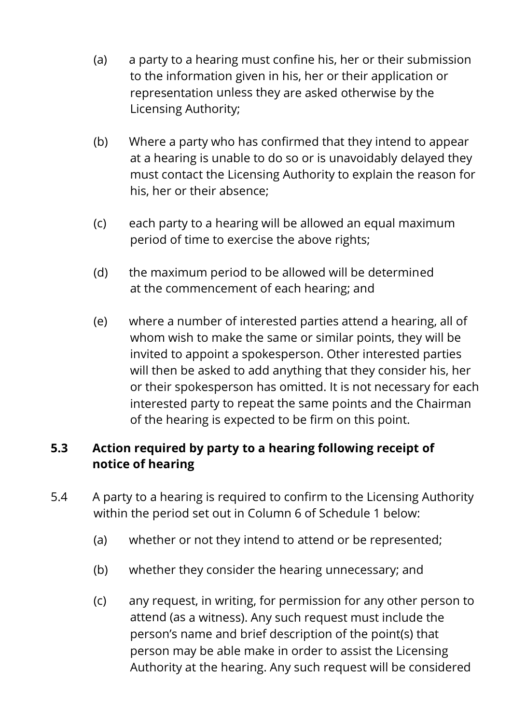- (a) a party to a hearing must confine his, her or their submission to the information given in his, her or their application or representation unless they are asked otherwise by the Licensing Authority;
- (b) Where a party who has confirmed that they intend to appear at a hearing is unable to do so or is unavoidably delayed they must contact the Licensing Authority to explain the reason for his, her or their absence;
- (c) each party to a hearing will be allowed an equal maximum period of time to exercise the above rights;
- (d) the maximum period to be allowed will be determined at the commencement of each hearing; and
- (e) where a number of interested parties attend a hearing, all of whom wish to make the same or similar points, they will be invited to appoint a spokesperson. Other interested parties will then be asked to add anything that they consider his, her or their spokesperson has omitted. It is not necessary for each interested party to repeat the same points and the Chairman of the hearing is expected to be firm on this point.

## **5.3 Action required by party to a hearing following receipt of notice of hearing**

- 5.4 A party to a hearing is required to confirm to the Licensing Authority within the period set out in Column 6 of Schedule 1 below:
	- (a) whether or not they intend to attend or be represented;
	- (b) whether they consider the hearing unnecessary; and
	- (c) any request, in writing, for permission for any other person to attend (as a witness). Any such request must include the person's name and brief description of the point(s) that person may be able make in order to assist the Licensing Authority at the hearing. Any such request will be considered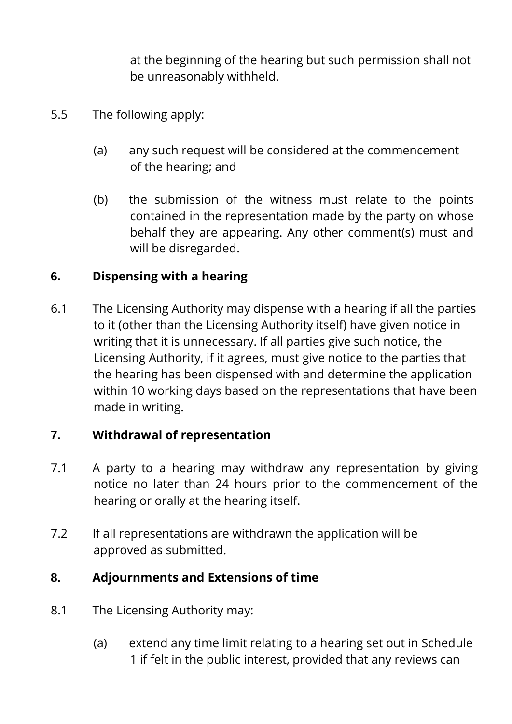at the beginning of the hearing but such permission shall not be unreasonably withheld.

- 5.5 The following apply:
	- (a) any such request will be considered at the commencement of the hearing; and
	- (b) the submission of the witness must relate to the points contained in the representation made by the party on whose behalf they are appearing. Any other comment(s) must and will be disregarded.

## **6. Dispensing with a hearing**

6.1 The Licensing Authority may dispense with a hearing if all the parties to it (other than the Licensing Authority itself) have given notice in writing that it is unnecessary. If all parties give such notice, the Licensing Authority, if it agrees, must give notice to the parties that the hearing has been dispensed with and determine the application within 10 working days based on the representations that have been made in writing.

## **7. Withdrawal of representation**

- 7.1 A party to a hearing may withdraw any representation by giving notice no later than 24 hours prior to the commencement of the hearing or orally at the hearing itself.
- 7.2 If all representations are withdrawn the application will be approved as submitted.

## **8. Adjournments and Extensions of time**

- 8.1 The Licensing Authority may:
	- (a) extend any time limit relating to a hearing set out in Schedule 1 if felt in the public interest, provided that any reviews can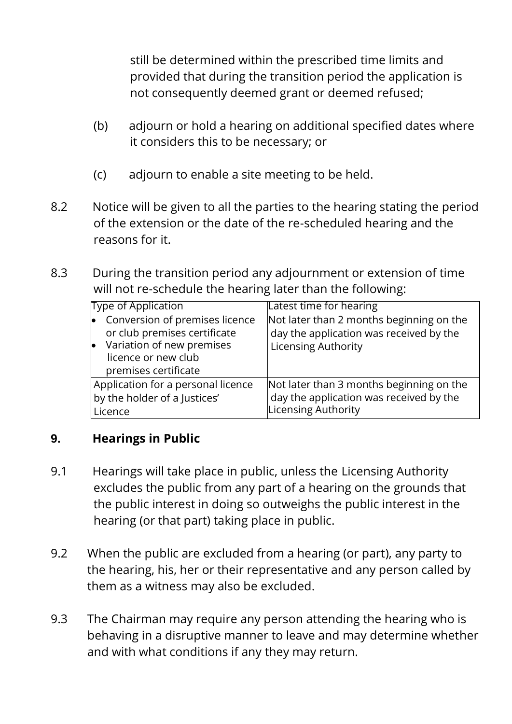still be determined within the prescribed time limits and provided that during the transition period the application is not consequently deemed grant or deemed refused;

- (b) adjourn or hold a hearing on additional specified dates where it considers this to be necessary; or
- (c) adjourn to enable a site meeting to be held.
- 8.2 Notice will be given to all the parties to the hearing stating the period of the extension or the date of the re-scheduled hearing and the reasons for it.
- 8.3 During the transition period any adjournment or extension of time will not re-schedule the hearing later than the following:

| <b>Type of Application</b>                                                                                                                 | Latest time for hearing                                                                                           |  |
|--------------------------------------------------------------------------------------------------------------------------------------------|-------------------------------------------------------------------------------------------------------------------|--|
| Conversion of premises licence<br>or club premises certificate<br>Variation of new premises<br>licence or new club<br>premises certificate | Not later than 2 months beginning on the<br>day the application was received by the<br><b>Licensing Authority</b> |  |
| Application for a personal licence<br>by the holder of a Justices'<br>Licence                                                              | Not later than 3 months beginning on the<br>day the application was received by the<br>Licensing Authority        |  |

## **9. Hearings in Public**

- 9.1 Hearings will take place in public, unless the Licensing Authority excludes the public from any part of a hearing on the grounds that the public interest in doing so outweighs the public interest in the hearing (or that part) taking place in public.
- 9.2 When the public are excluded from a hearing (or part), any party to the hearing, his, her or their representative and any person called by them as a witness may also be excluded.
- 9.3 The Chairman may require any person attending the hearing who is behaving in a disruptive manner to leave and may determine whether and with what conditions if any they may return.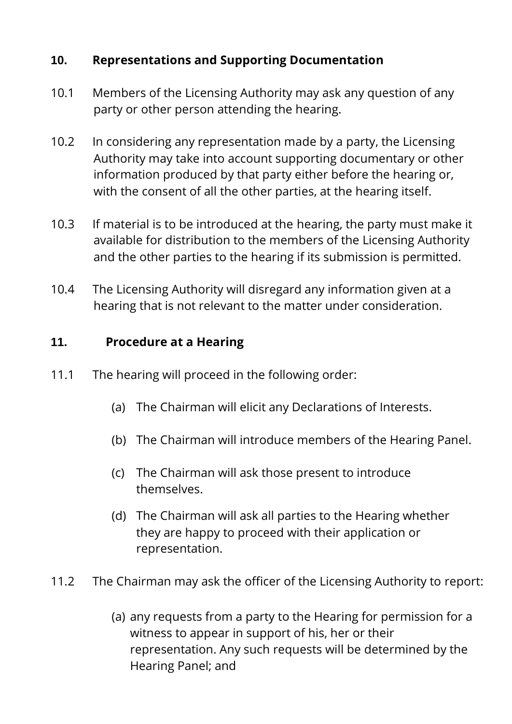## **10. Representations and Supporting Documentation**

- 10.1 Members of the Licensing Authority may ask any question of any party or other person attending the hearing.
- 10.2 In considering any representation made by a party, the Licensing Authority may take into account supporting documentary or other information produced by that party either before the hearing or, with the consent of all the other parties, at the hearing itself.
- 10.3 If material is to be introduced at the hearing, the party must make it available for distribution to the members of the Licensing Authority and the other parties to the hearing if its submission is permitted.
- 10.4 The Licensing Authority will disregard any information given at a hearing that is not relevant to the matter under consideration.

## **11. Procedure at a Hearing**

- 11.1 The hearing will proceed in the following order:
	- (a) The Chairman will elicit any Declarations of Interests.
	- (b) The Chairman will introduce members of the Hearing Panel.
	- (c) The Chairman will ask those present to introduce themselves.
	- (d) The Chairman will ask all parties to the Hearing whether they are happy to proceed with their application or representation.
- 11.2 The Chairman may ask the officer of the Licensing Authority to report:
	- (a) any requests from a party to the Hearing for permission for a witness to appear in support of his, her or their representation. Any such requests will be determined by the Hearing Panel; and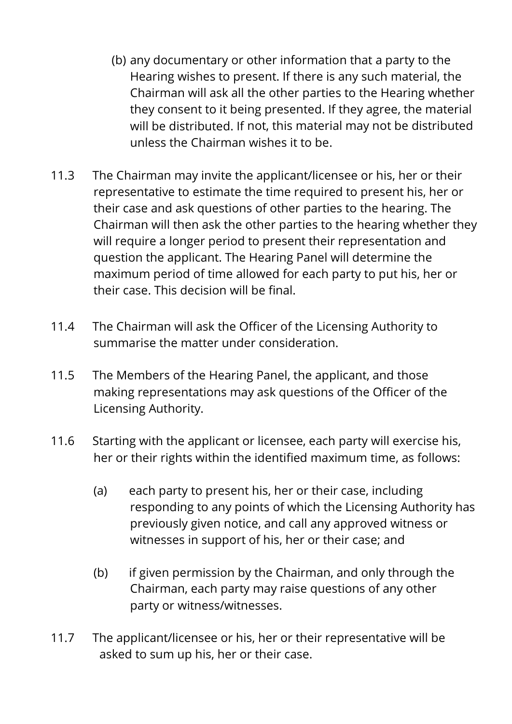- (b) any documentary or other information that a party to the Hearing wishes to present. If there is any such material, the Chairman will ask all the other parties to the Hearing whether they consent to it being presented. If they agree, the material will be distributed. If not, this material may not be distributed unless the Chairman wishes it to be.
- 11.3 The Chairman may invite the applicant/licensee or his, her or their representative to estimate the time required to present his, her or their case and ask questions of other parties to the hearing. The Chairman will then ask the other parties to the hearing whether they will require a longer period to present their representation and question the applicant. The Hearing Panel will determine the maximum period of time allowed for each party to put his, her or their case. This decision will be final.
- 11.4 The Chairman will ask the Officer of the Licensing Authority to summarise the matter under consideration.
- 11.5 The Members of the Hearing Panel, the applicant, and those making representations may ask questions of the Officer of the Licensing Authority.
- 11.6 Starting with the applicant or licensee, each party will exercise his, her or their rights within the identified maximum time, as follows:
	- (a) each party to present his, her or their case, including responding to any points of which the Licensing Authority has previously given notice, and call any approved witness or witnesses in support of his, her or their case; and
	- (b) if given permission by the Chairman, and only through the Chairman, each party may raise questions of any other party or witness/witnesses.
- 11.7 The applicant/licensee or his, her or their representative will be asked to sum up his, her or their case.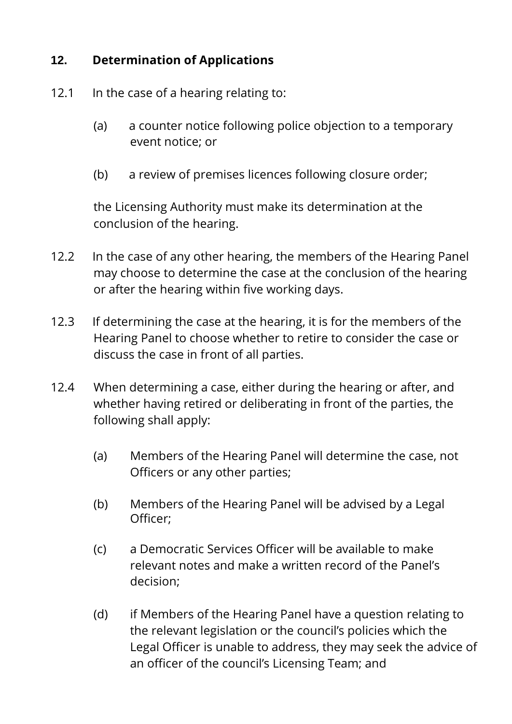## **12. Determination of Applications**

- 12.1 In the case of a hearing relating to:
	- (a) a counter notice following police objection to a temporary event notice; or
	- (b) a review of premises licences following closure order;

the Licensing Authority must make its determination at the conclusion of the hearing.

- 12.2 In the case of any other hearing, the members of the Hearing Panel may choose to determine the case at the conclusion of the hearing or after the hearing within five working days.
- 12.3 If determining the case at the hearing, it is for the members of the Hearing Panel to choose whether to retire to consider the case or discuss the case in front of all parties.
- 12.4 When determining a case, either during the hearing or after, and whether having retired or deliberating in front of the parties, the following shall apply:
	- (a) Members of the Hearing Panel will determine the case, not Officers or any other parties;
	- (b) Members of the Hearing Panel will be advised by a Legal Officer;
	- (c) a Democratic Services Officer will be available to make relevant notes and make a written record of the Panel's decision;
	- (d) if Members of the Hearing Panel have a question relating to the relevant legislation or the council's policies which the Legal Officer is unable to address, they may seek the advice of an officer of the council's Licensing Team; and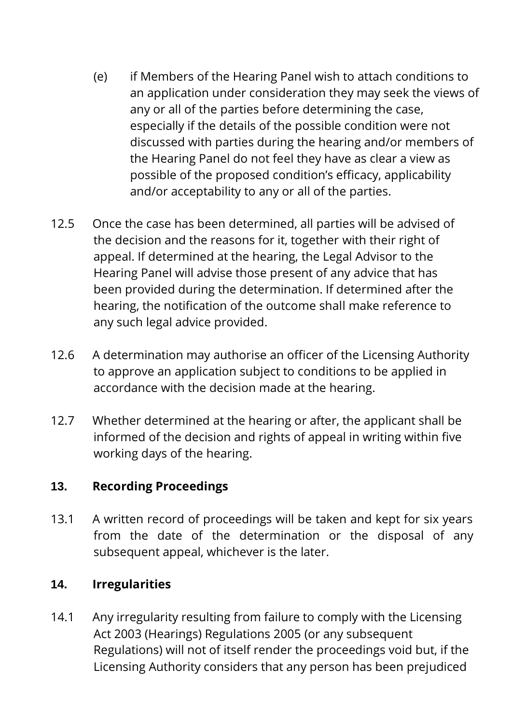- (e) if Members of the Hearing Panel wish to attach conditions to an application under consideration they may seek the views of any or all of the parties before determining the case, especially if the details of the possible condition were not discussed with parties during the hearing and/or members of the Hearing Panel do not feel they have as clear a view as possible of the proposed condition's efficacy, applicability and/or acceptability to any or all of the parties.
- 12.5 Once the case has been determined, all parties will be advised of the decision and the reasons for it, together with their right of appeal. If determined at the hearing, the Legal Advisor to the Hearing Panel will advise those present of any advice that has been provided during the determination. If determined after the hearing, the notification of the outcome shall make reference to any such legal advice provided.
- 12.6 A determination may authorise an officer of the Licensing Authority to approve an application subject to conditions to be applied in accordance with the decision made at the hearing.
- 12.7 Whether determined at the hearing or after, the applicant shall be informed of the decision and rights of appeal in writing within five working days of the hearing.

#### **13. Recording Proceedings**

13.1 A written record of proceedings will be taken and kept for six years from the date of the determination or the disposal of any subsequent appeal, whichever is the later.

## **14. Irregularities**

14.1 Any irregularity resulting from failure to comply with the Licensing Act 2003 (Hearings) Regulations 2005 (or any subsequent Regulations) will not of itself render the proceedings void but, if the Licensing Authority considers that any person has been prejudiced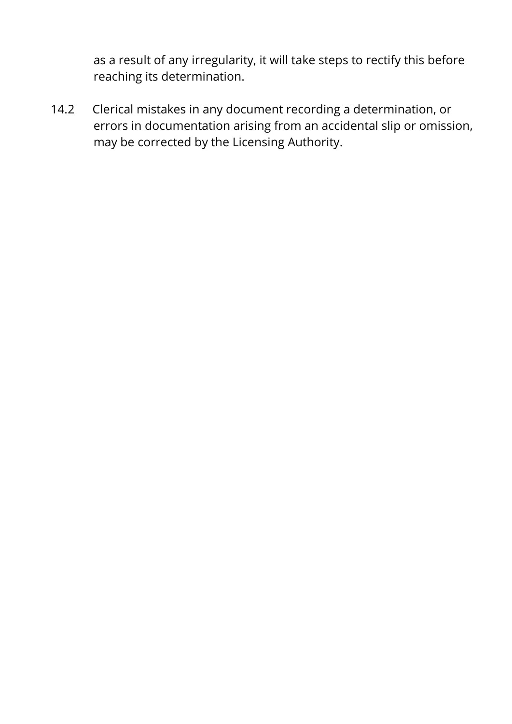as a result of any irregularity, it will take steps to rectify this before reaching its determination.

14.2 Clerical mistakes in any document recording a determination, or errors in documentation arising from an accidental slip or omission, may be corrected by the Licensing Authority.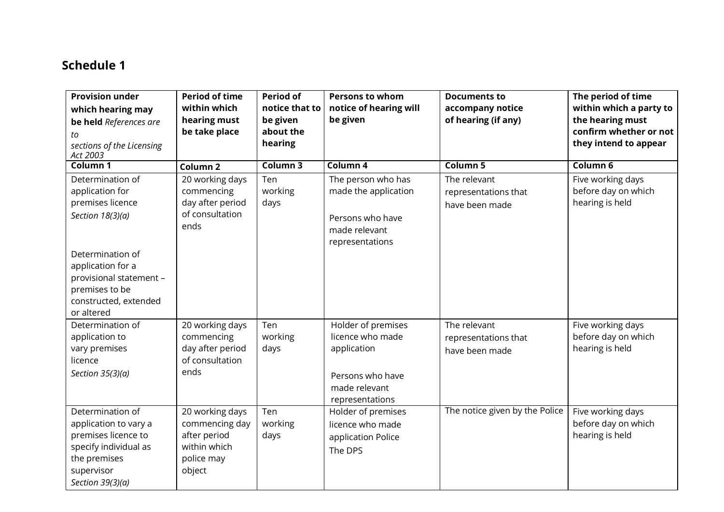## **Schedule 1**

| <b>Provision under</b>                | <b>Period of time</b> | <b>Period of</b> | <b>Persons to whom</b> | <b>Documents to</b>            | The period of time      |
|---------------------------------------|-----------------------|------------------|------------------------|--------------------------------|-------------------------|
| which hearing may                     | within which          | notice that to   | notice of hearing will | accompany notice               | within which a party to |
| be held References are                | hearing must          | be given         | be given               | of hearing (if any)            | the hearing must        |
| tо                                    | be take place         | about the        |                        |                                | confirm whether or not  |
| sections of the Licensing<br>Act 2003 |                       | hearing          |                        |                                | they intend to appear   |
| Column 1                              | Column <sub>2</sub>   | Column 3         | Column 4               | Column 5                       | Column 6                |
| Determination of                      | 20 working days       | Ten              | The person who has     | The relevant                   | Five working days       |
| application for                       | commencing            | working          | made the application   | representations that           | before day on which     |
| premises licence                      | day after period      | days             |                        | have been made                 | hearing is held         |
| Section $18(3)(a)$                    | of consultation       |                  | Persons who have       |                                |                         |
|                                       | ends                  |                  | made relevant          |                                |                         |
|                                       |                       |                  | representations        |                                |                         |
| Determination of                      |                       |                  |                        |                                |                         |
| application for a                     |                       |                  |                        |                                |                         |
| provisional statement -               |                       |                  |                        |                                |                         |
| premises to be                        |                       |                  |                        |                                |                         |
| constructed, extended                 |                       |                  |                        |                                |                         |
| or altered                            |                       |                  |                        |                                |                         |
| Determination of                      | 20 working days       | Ten              | Holder of premises     | The relevant                   | Five working days       |
| application to                        | commencing            | working          | licence who made       | representations that           | before day on which     |
| vary premises                         | day after period      | days             | application            | have been made                 | hearing is held         |
| licence                               | of consultation       |                  |                        |                                |                         |
| Section $35(3)(a)$                    | ends                  |                  | Persons who have       |                                |                         |
|                                       |                       |                  | made relevant          |                                |                         |
|                                       |                       |                  | representations        |                                |                         |
| Determination of                      | 20 working days       | Ten              | Holder of premises     | The notice given by the Police | Five working days       |
| application to vary a                 | commencing day        | working          | licence who made       |                                | before day on which     |
| premises licence to                   | after period          | days             | application Police     |                                | hearing is held         |
| specify individual as                 | within which          |                  | The DPS                |                                |                         |
| the premises                          | police may            |                  |                        |                                |                         |
| supervisor                            | object                |                  |                        |                                |                         |
| Section $39(3)(a)$                    |                       |                  |                        |                                |                         |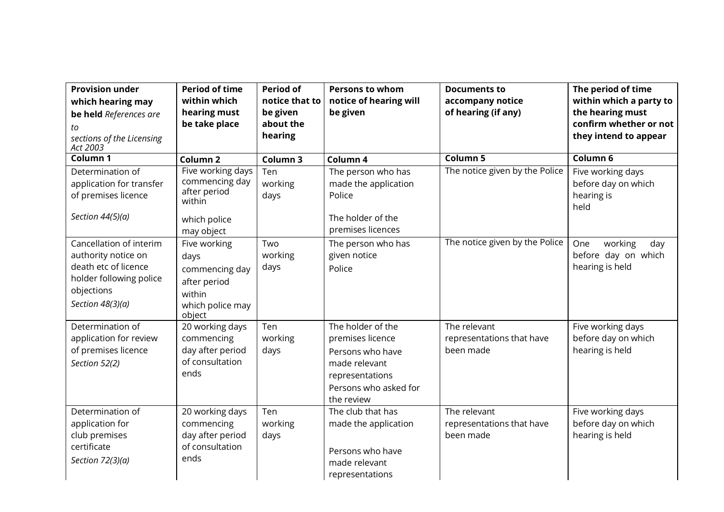| <b>Provision under</b><br>which hearing may<br>be held References are<br>to<br>sections of the Licensing<br>Act 2003                  | <b>Period of time</b><br>within which<br>hearing must<br>be take place                         | <b>Period of</b><br>notice that to<br>be given<br>about the<br>hearing | <b>Persons to whom</b><br>notice of hearing will<br>be given                                                                         | <b>Documents to</b><br>accompany notice<br>of hearing (if any) | The period of time<br>within which a party to<br>the hearing must<br>confirm whether or not<br>they intend to appear |
|---------------------------------------------------------------------------------------------------------------------------------------|------------------------------------------------------------------------------------------------|------------------------------------------------------------------------|--------------------------------------------------------------------------------------------------------------------------------------|----------------------------------------------------------------|----------------------------------------------------------------------------------------------------------------------|
| Column 1                                                                                                                              | Column <sub>2</sub>                                                                            | Column 3                                                               | Column 4                                                                                                                             | <b>Column 5</b>                                                | Column 6                                                                                                             |
| Determination of<br>application for transfer<br>of premises licence                                                                   | Five working days<br>commencing day<br>after period<br>within                                  | Ten<br>working<br>days                                                 | The person who has<br>made the application<br>Police                                                                                 | The notice given by the Police                                 | Five working days<br>before day on which<br>hearing is<br>held                                                       |
| Section $44(5)(a)$                                                                                                                    | which police<br>may object                                                                     |                                                                        | The holder of the<br>premises licences                                                                                               |                                                                |                                                                                                                      |
| Cancellation of interim<br>authority notice on<br>death etc of licence<br>holder following police<br>objections<br>Section $48(3)(a)$ | Five working<br>days<br>commencing day<br>after period<br>within<br>which police may<br>object | Two<br>working<br>days                                                 | The person who has<br>given notice<br>Police                                                                                         | The notice given by the Police                                 | working<br>One<br>day<br>before day on which<br>hearing is held                                                      |
| Determination of<br>application for review<br>of premises licence<br>Section 52(2)                                                    | 20 working days<br>commencing<br>day after period<br>of consultation<br>ends                   | Ten<br>working<br>days                                                 | The holder of the<br>premises licence<br>Persons who have<br>made relevant<br>representations<br>Persons who asked for<br>the review | The relevant<br>representations that have<br>been made         | Five working days<br>before day on which<br>hearing is held                                                          |
| Determination of<br>application for<br>club premises<br>certificate<br>Section $72(3)(a)$                                             | 20 working days<br>commencing<br>day after period<br>of consultation<br>ends                   | Ten<br>working<br>days                                                 | The club that has<br>made the application<br>Persons who have<br>made relevant<br>representations                                    | The relevant<br>representations that have<br>been made         | Five working days<br>before day on which<br>hearing is held                                                          |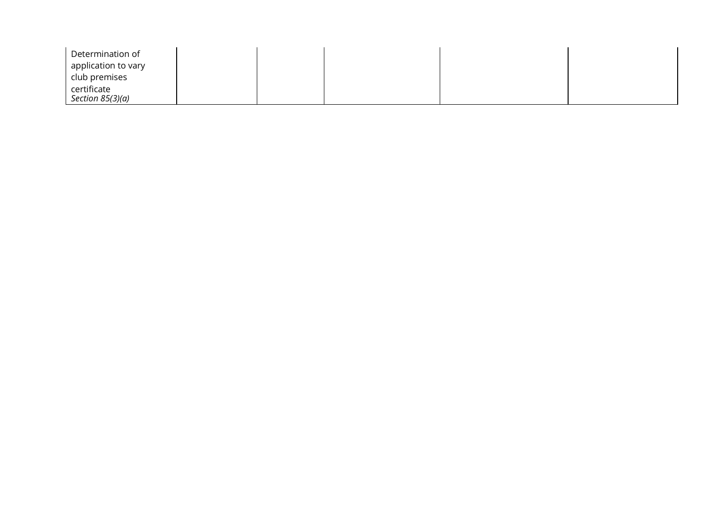| Determination of                  |  |  |  |
|-----------------------------------|--|--|--|
| application to vary               |  |  |  |
| club premises                     |  |  |  |
| certificate<br>Section $85(3)(a)$ |  |  |  |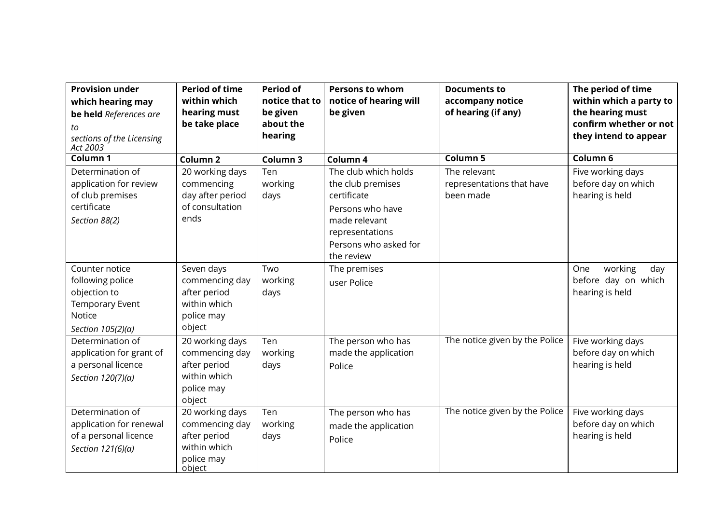| <b>Provision under</b><br>which hearing may<br>be held References are<br>tо<br>sections of the Licensing<br>Act 2003 | <b>Period of time</b><br>within which<br>hearing must<br>be take place                    | <b>Period of</b><br>notice that to<br>be given<br>about the<br>hearing | <b>Persons to whom</b><br>notice of hearing will<br>be given                                                                                            | <b>Documents to</b><br>accompany notice<br>of hearing (if any) | The period of time<br>within which a party to<br>the hearing must<br>confirm whether or not<br>they intend to appear |
|----------------------------------------------------------------------------------------------------------------------|-------------------------------------------------------------------------------------------|------------------------------------------------------------------------|---------------------------------------------------------------------------------------------------------------------------------------------------------|----------------------------------------------------------------|----------------------------------------------------------------------------------------------------------------------|
| Column 1                                                                                                             | Column <sub>2</sub>                                                                       | Column 3                                                               | Column 4                                                                                                                                                | Column 5                                                       | Column 6                                                                                                             |
| Determination of<br>application for review<br>of club premises<br>certificate<br>Section 88(2)                       | 20 working days<br>commencing<br>day after period<br>of consultation<br>ends              | Ten<br>working<br>days                                                 | The club which holds<br>the club premises<br>certificate<br>Persons who have<br>made relevant<br>representations<br>Persons who asked for<br>the review | The relevant<br>representations that have<br>been made         | Five working days<br>before day on which<br>hearing is held                                                          |
| Counter notice<br>following police<br>objection to<br><b>Temporary Event</b><br>Notice<br>Section 105(2)(a)          | Seven days<br>commencing day<br>after period<br>within which<br>police may<br>object      | Two<br>working<br>days                                                 | The premises<br>user Police                                                                                                                             |                                                                | working<br>One<br>day<br>before day on which<br>hearing is held                                                      |
| Determination of<br>application for grant of<br>a personal licence<br>Section 120(7)(a)                              | 20 working days<br>commencing day<br>after period<br>within which<br>police may<br>object | Ten<br>working<br>days                                                 | The person who has<br>made the application<br>Police                                                                                                    | The notice given by the Police                                 | Five working days<br>before day on which<br>hearing is held                                                          |
| Determination of<br>application for renewal<br>of a personal licence<br>Section 121(6)(a)                            | 20 working days<br>commencing day<br>after period<br>within which<br>police may<br>object | Ten<br>working<br>days                                                 | The person who has<br>made the application<br>Police                                                                                                    | The notice given by the Police                                 | Five working days<br>before day on which<br>hearing is held                                                          |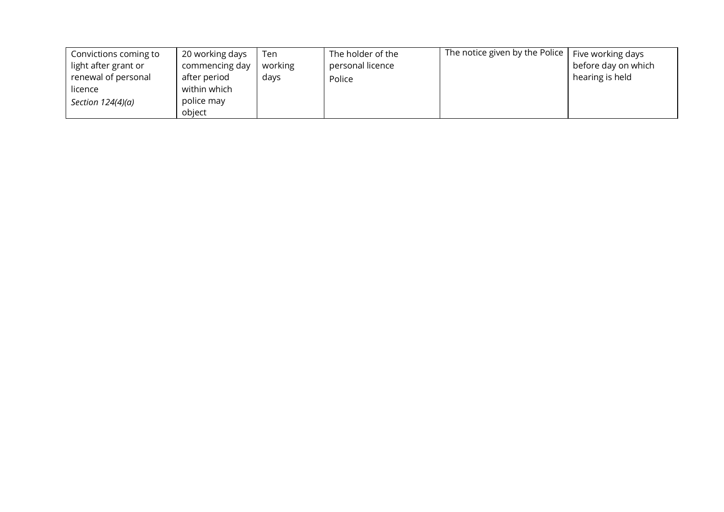| Convictions coming to | 20 working days | Ten     | The holder of the | The notice given by the Police | Five working days   |
|-----------------------|-----------------|---------|-------------------|--------------------------------|---------------------|
| light after grant or  | commencing day  | working | personal licence  |                                | before day on which |
| renewal of personal   | after period    | days    | Police            |                                | hearing is held     |
| licence               | within which    |         |                   |                                |                     |
| Section $124(4)(a)$   | police may      |         |                   |                                |                     |
|                       | object          |         |                   |                                |                     |